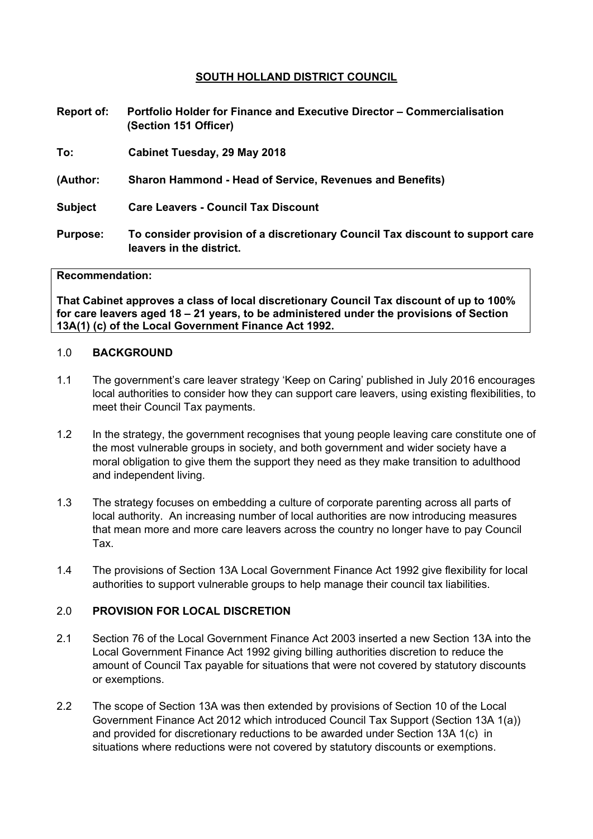### **SOUTH HOLLAND DISTRICT COUNCIL**

- **Report of: Portfolio Holder for Finance and Executive Director – Commercialisation (Section 151 Officer)**
- **To: Cabinet Tuesday, 29 May 2018**
- **(Author: Sharon Hammond - Head of Service, Revenues and Benefits)**
- **Subject Care Leavers - Council Tax Discount**
- **Purpose: To consider provision of a discretionary Council Tax discount to support care leavers in the district.**

#### **Recommendation:**

**That Cabinet approves a class of local discretionary Council Tax discount of up to 100% for care leavers aged 18 – 21 years, to be administered under the provisions of Section 13A(1) (c) of the Local Government Finance Act 1992.**

#### 1.0 **BACKGROUND**

- 1.1 The government's care leaver strategy 'Keep on Caring' published in July 2016 encourages local authorities to consider how they can support care leavers, using existing flexibilities, to meet their Council Tax payments.
- 1.2 In the strategy, the government recognises that young people leaving care constitute one of the most vulnerable groups in society, and both government and wider society have a moral obligation to give them the support they need as they make transition to adulthood and independent living.
- 1.3 The strategy focuses on embedding a culture of corporate parenting across all parts of local authority. An increasing number of local authorities are now introducing measures that mean more and more care leavers across the country no longer have to pay Council Tax.
- 1.4 The provisions of Section 13A Local Government Finance Act 1992 give flexibility for local authorities to support vulnerable groups to help manage their council tax liabilities.

#### 2.0 **PROVISION FOR LOCAL DISCRETION**

- 2.1 Section 76 of the Local Government Finance Act 2003 inserted a new Section 13A into the Local Government Finance Act 1992 giving billing authorities discretion to reduce the amount of Council Tax payable for situations that were not covered by statutory discounts or exemptions.
- 2.2 The scope of Section 13A was then extended by provisions of Section 10 of the Local Government Finance Act 2012 which introduced Council Tax Support (Section 13A 1(a)) and provided for discretionary reductions to be awarded under Section 13A 1(c) in situations where reductions were not covered by statutory discounts or exemptions.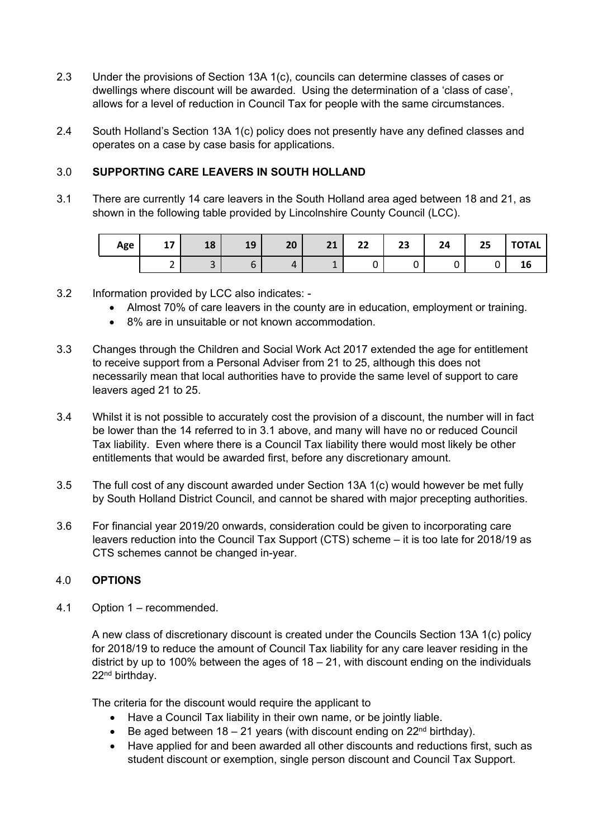- 2.3 Under the provisions of Section 13A 1(c), councils can determine classes of cases or dwellings where discount will be awarded. Using the determination of a 'class of case', allows for a level of reduction in Council Tax for people with the same circumstances.
- 2.4 South Holland's Section 13A 1(c) policy does not presently have any defined classes and operates on a case by case basis for applications.

# 3.0 **SUPPORTING CARE LEAVERS IN SOUTH HOLLAND**

3.1 There are currently 14 care leavers in the South Holland area aged between 18 and 21, as shown in the following table provided by Lincolnshire County Council (LCC).

| Age | 17<br> | 10<br>ΙO              | 10<br>ᅩJ | 20             | 21 | າາ<br>LL | 23 | 24 | 25 | <b>TOTAL</b> |
|-----|--------|-----------------------|----------|----------------|----|----------|----|----|----|--------------|
|     | -      | $\tilde{\phantom{a}}$ |          | $\overline{a}$ |    | ັ        |    |    |    | TР           |

- 3.2 Information provided by LCC also indicates:
	- Almost 70% of care leavers in the county are in education, employment or training.
	- 8% are in unsuitable or not known accommodation.
- 3.3 Changes through the Children and Social Work Act 2017 extended the age for entitlement to receive support from a Personal Adviser from 21 to 25, although this does not necessarily mean that local authorities have to provide the same level of support to care leavers aged 21 to 25.
- 3.4 Whilst it is not possible to accurately cost the provision of a discount, the number will in fact be lower than the 14 referred to in 3.1 above, and many will have no or reduced Council Tax liability. Even where there is a Council Tax liability there would most likely be other entitlements that would be awarded first, before any discretionary amount.
- 3.5 The full cost of any discount awarded under Section 13A 1(c) would however be met fully by South Holland District Council, and cannot be shared with major precepting authorities.
- 3.6 For financial year 2019/20 onwards, consideration could be given to incorporating care leavers reduction into the Council Tax Support (CTS) scheme – it is too late for 2018/19 as CTS schemes cannot be changed in-year.

### 4.0 **OPTIONS**

4.1 Option 1 – recommended.

A new class of discretionary discount is created under the Councils Section 13A 1(c) policy for 2018/19 to reduce the amount of Council Tax liability for any care leaver residing in the district by up to 100% between the ages of  $18 - 21$ , with discount ending on the individuals 22nd birthday.

The criteria for the discount would require the applicant to

- Have a Council Tax liability in their own name, or be jointly liable.
- Be aged between  $18 21$  years (with discount ending on  $22<sup>nd</sup>$  birthday).
- Have applied for and been awarded all other discounts and reductions first, such as student discount or exemption, single person discount and Council Tax Support.